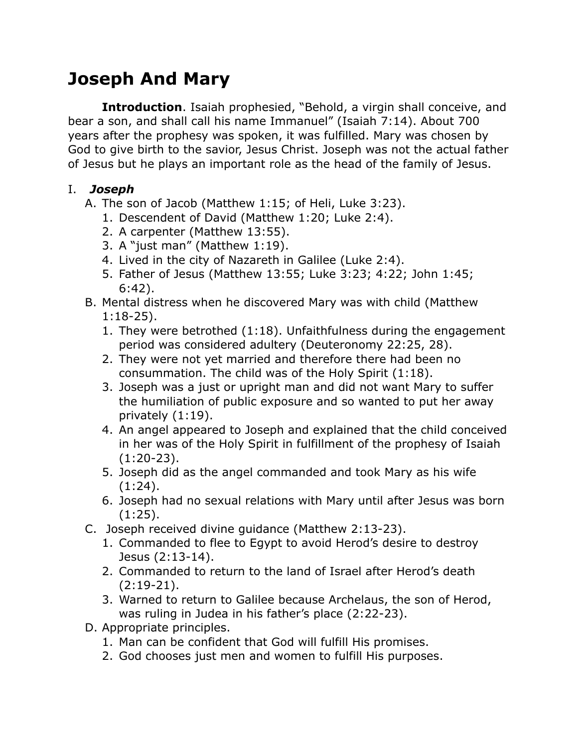# **Joseph And Mary**

**Introduction**. Isaiah prophesied, "Behold, a virgin shall conceive, and bear a son, and shall call his name Immanuel" (Isaiah 7:14). About 700 years after the prophesy was spoken, it was fulfilled. Mary was chosen by God to give birth to the savior, Jesus Christ. Joseph was not the actual father of Jesus but he plays an important role as the head of the family of Jesus.

#### I. *Joseph*

- A. The son of Jacob (Matthew 1:15; of Heli, Luke 3:23).
	- 1. Descendent of David (Matthew 1:20; Luke 2:4).
	- 2. A carpenter (Matthew 13:55).
	- 3. A "just man" (Matthew 1:19).
	- 4. Lived in the city of Nazareth in Galilee (Luke 2:4).
	- 5. Father of Jesus (Matthew 13:55; Luke 3:23; 4:22; John 1:45; 6:42).
- B. Mental distress when he discovered Mary was with child (Matthew 1:18-25).
	- 1. They were betrothed (1:18). Unfaithfulness during the engagement period was considered adultery (Deuteronomy 22:25, 28).
	- 2. They were not yet married and therefore there had been no consummation. The child was of the Holy Spirit (1:18).
	- 3. Joseph was a just or upright man and did not want Mary to suffer the humiliation of public exposure and so wanted to put her away privately (1:19).
	- 4. An angel appeared to Joseph and explained that the child conceived in her was of the Holy Spirit in fulfillment of the prophesy of Isaiah (1:20-23).
	- 5. Joseph did as the angel commanded and took Mary as his wife  $(1:24)$ .
	- 6. Joseph had no sexual relations with Mary until after Jesus was born  $(1:25)$ .
- C. Joseph received divine guidance (Matthew 2:13-23).
	- 1. Commanded to flee to Egypt to avoid Herod's desire to destroy Jesus (2:13-14).
	- 2. Commanded to return to the land of Israel after Herod's death (2:19-21).
	- 3. Warned to return to Galilee because Archelaus, the son of Herod, was ruling in Judea in his father's place (2:22-23).
- D. Appropriate principles.
	- 1. Man can be confident that God will fulfill His promises.
	- 2. God chooses just men and women to fulfill His purposes.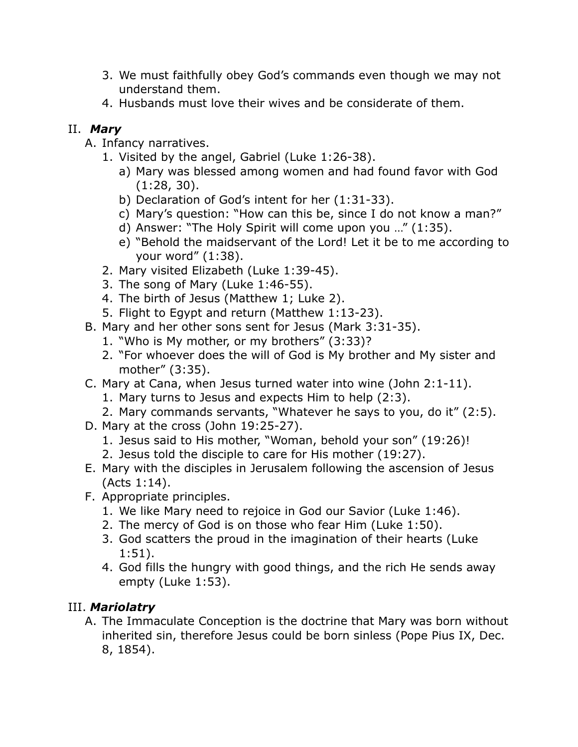- 3. We must faithfully obey God's commands even though we may not understand them.
- 4. Husbands must love their wives and be considerate of them.

## II. *Mary*

- A. Infancy narratives.
	- 1. Visited by the angel, Gabriel (Luke 1:26-38).
		- a) Mary was blessed among women and had found favor with God (1:28, 30).
		- b) Declaration of God's intent for her (1:31-33).
		- c) Mary's question: "How can this be, since I do not know a man?"
		- d) Answer: "The Holy Spirit will come upon you …" (1:35).
		- e) "Behold the maidservant of the Lord! Let it be to me according to your word" (1:38).
	- 2. Mary visited Elizabeth (Luke 1:39-45).
	- 3. The song of Mary (Luke 1:46-55).
	- 4. The birth of Jesus (Matthew 1; Luke 2).
	- 5. Flight to Egypt and return (Matthew 1:13-23).
- B. Mary and her other sons sent for Jesus (Mark 3:31-35).
	- 1. "Who is My mother, or my brothers" (3:33)?
	- 2. "For whoever does the will of God is My brother and My sister and mother" (3:35).
- C. Mary at Cana, when Jesus turned water into wine (John 2:1-11).
	- 1. Mary turns to Jesus and expects Him to help (2:3).
	- 2. Mary commands servants, "Whatever he says to you, do it" (2:5).
- D. Mary at the cross (John 19:25-27).
	- 1. Jesus said to His mother, "Woman, behold your son" (19:26)!
	- 2. Jesus told the disciple to care for His mother (19:27).
- E. Mary with the disciples in Jerusalem following the ascension of Jesus (Acts 1:14).
- F. Appropriate principles.
	- 1. We like Mary need to rejoice in God our Savior (Luke 1:46).
	- 2. The mercy of God is on those who fear Him (Luke 1:50).
	- 3. God scatters the proud in the imagination of their hearts (Luke 1:51).
	- 4. God fills the hungry with good things, and the rich He sends away empty (Luke 1:53).

# III. *Mariolatry*

A. The Immaculate Conception is the doctrine that Mary was born without inherited sin, therefore Jesus could be born sinless (Pope Pius IX, Dec. 8, 1854).